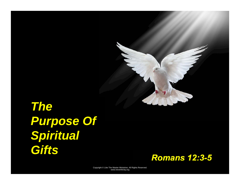

# *The Purpose Of Spiritual Gifts*

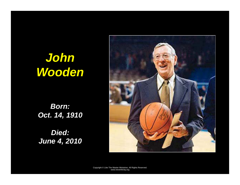# *John Wooden*

*Born: Oct. 14, 1910* 

*Died: June 4, 2010*

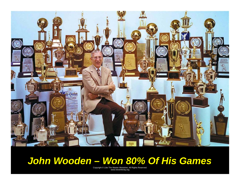

## *John Wooden – Won 80% Of His Games*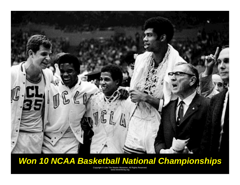

#### *Won 10 NCAA Basketball National Championships*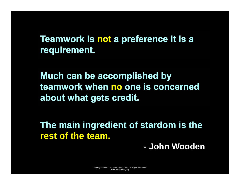**Teamwork is not a preference it is a requirement.**

**Much can be accomplished by teamwork when no one is concerned about what gets credit.** 

**The main ingredient of stardom is the rest of the team.** 

**- John Wooden**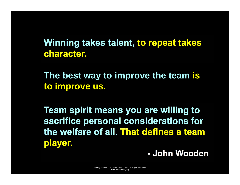**Winning takes talent, to repeat takes character.**

**The best way to improve the team is to improve us.** 

**Team spirit means you are willing to sacrifice personal considerations for the welfare of all. That defines a team player.**

**- John Wooden**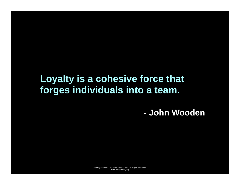## **Loyalty is a cohesive force that forges individuals into a team.**

**- John Wooden**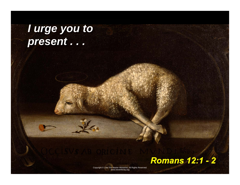*I urge you to present . . .* 

#### *Romans 12:1 - 2*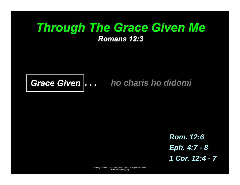#### *Through The Grace Given Me Romans 12:3*



#### *Grace Given . . . ho charis ho didomi*

*Rom. 12:6 Eph. 4:7 - 8 1 Cor. 12:4 - 7*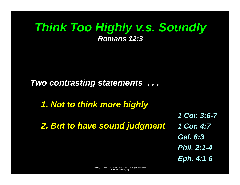#### *Think Too Highly v.s. Soundly Romans 12:3*

*Two contrasting statements . . .* 

*1. Not to think more highly* 

*2. But to have sound judgment* 

*1 Cor. 3:6-7 1 Cor. 4:7 Gal. 6:3 Phil. 2:1-4 Eph. 4:1-6*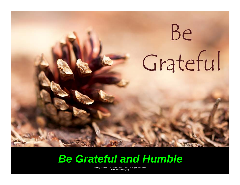

# *Be Grateful and Humble*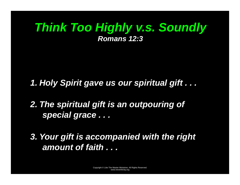### *Think Too Highly v.s. Soundly Romans 12:3*

*1. Holy Spirit gave us our spiritual gift . . .* 

*2. The spiritual gift is an outpouring of special grace . . .* 

*3. Your gift is accompanied with the right amount of faith . . .*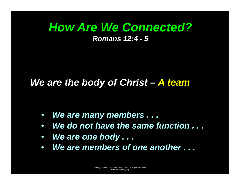#### *How Are We Connected? Romans 12:4 - 5*

#### *We are the body of Christ – A team*

- *We are many members . . .*
- *We do not have the same function . . .*
- *We are one body . . .*
- *We are members of one another . . .*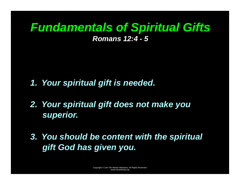## *Fundamentals of Spiritual Gifts Romans 12:4 - 5*

- *1. Your spiritual gift is needed.*
- *2. Your spiritual gift does not make you superior.*
- *3. You should be content with the spiritual gift God has given you.*